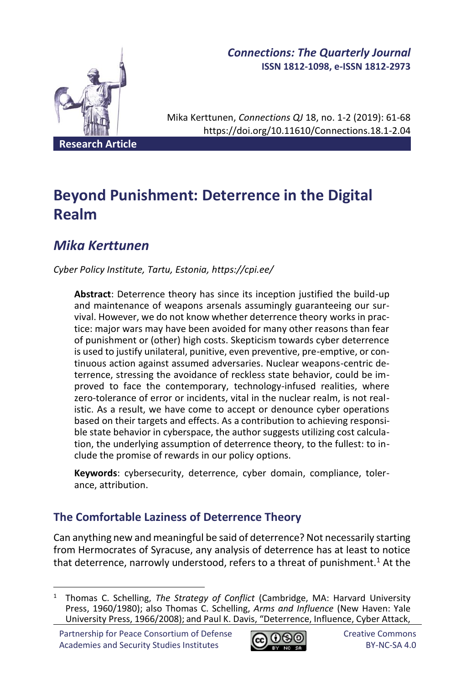

# *Connections: The Quarterly Journal* **ISSN 1812-1098, e-ISSN 1812-2973**

Mika Kerttunen, *Connections QJ* 18, no. 1-2 (2019): 61-68 https://doi.org/10.11610/Connections.18.1-2.04

**Research Article**

# **Beyond Punishment: Deterrence in the Digital Realm**

# *Mika Kerttunen*

*Cyber Policy Institute, Tartu, Estonia, https://cpi.ee/*

**Abstract**: Deterrence theory has since its inception justified the build-up and maintenance of weapons arsenals assumingly guaranteeing our survival. However, we do not know whether deterrence theory works in practice: major wars may have been avoided for many other reasons than fear of punishment or (other) high costs. Skepticism towards cyber deterrence is used to justify unilateral, punitive, even preventive, pre-emptive, or continuous action against assumed adversaries. Nuclear weapons-centric deterrence, stressing the avoidance of reckless state behavior, could be improved to face the contemporary, technology-infused realities, where zero-tolerance of error or incidents, vital in the nuclear realm, is not realistic. As a result, we have come to accept or denounce cyber operations based on their targets and effects. As a contribution to achieving responsible state behavior in cyberspace, the author suggests utilizing cost calculation, the underlying assumption of deterrence theory, to the fullest: to include the promise of rewards in our policy options.

**Keywords**: cybersecurity, deterrence, cyber domain, compliance, tolerance, attribution.

# **The Comfortable Laziness of Deterrence Theory**

Can anything new and meaningful be said of deterrence? Not necessarily starting from Hermocrates of Syracuse, any analysis of deterrence has at least to notice that deterrence, narrowly understood, refers to a threat of punishment.<sup>1</sup> At the



<sup>1</sup> Thomas C. Schelling, *The Strategy of Conflict* (Cambridge, MA: Harvard University Press, 1960/1980); also Thomas C. Schelling, *Arms and Influence* (New Haven: Yale University Press, 1966/2008); and Paul K. Davis, "Deterrence, Influence, Cyber Attack,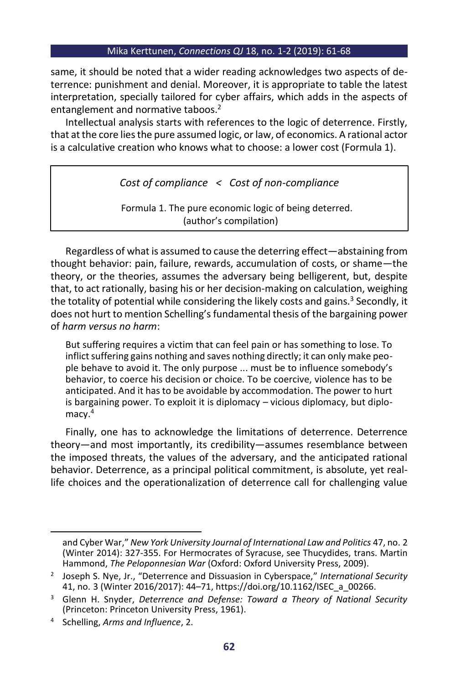same, it should be noted that a wider reading acknowledges two aspects of deterrence: punishment and denial. Moreover, it is appropriate to table the latest interpretation, specially tailored for cyber affairs, which adds in the aspects of entanglement and normative taboos.<sup>2</sup>

Intellectual analysis starts with references to the logic of deterrence. Firstly, that at the core lies the pure assumed logic, or law, of economics. A rational actor is a calculative creation who knows what to choose: a lower cost (Formula 1).

*Cost of compliance < Cost of non-compliance*

Formula 1. The pure economic logic of being deterred. (author's compilation)

Regardless of what is assumed to cause the deterring effect—abstaining from thought behavior: pain, failure, rewards, accumulation of costs, or shame—the theory, or the theories, assumes the adversary being belligerent, but, despite that, to act rationally, basing his or her decision-making on calculation, weighing the totality of potential while considering the likely costs and gains.<sup>3</sup> Secondly, it does not hurt to mention Schelling's fundamental thesis of the bargaining power of *harm versus no harm*:

But suffering requires a victim that can feel pain or has something to lose. To inflict suffering gains nothing and saves nothing directly; it can only make people behave to avoid it. The only purpose ... must be to influence somebody's behavior, to coerce his decision or choice. To be coercive, violence has to be anticipated. And it has to be avoidable by accommodation. The power to hurt is bargaining power. To exploit it is diplomacy – vicious diplomacy, but diplomacy.<sup>4</sup>

Finally, one has to acknowledge the limitations of deterrence. Deterrence theory—and most importantly, its credibility—assumes resemblance between the imposed threats, the values of the adversary, and the anticipated rational behavior. Deterrence, as a principal political commitment, is absolute, yet reallife choices and the operationalization of deterrence call for challenging value

and Cyber War," *New York University Journal of International Law and Politics* 47, no. 2 (Winter 2014): 327-355. For Hermocrates of Syracuse, see Thucydides, trans. Martin Hammond, *The Peloponnesian War* (Oxford: Oxford University Press, 2009).

<sup>2</sup> Joseph S. Nye, Jr., "Deterrence and Dissuasion in Cyberspace," *International Security* 41, no. 3 (Winter 2016/2017): 44–71, https://doi.org/10.1162/ISEC\_a\_00266.

<sup>3</sup> Glenn H. Snyder, *Deterrence and Defense: Toward a Theory of National Security* (Princeton: Princeton University Press, 1961).

<sup>4</sup> Schelling, *Arms and Influence*, 2.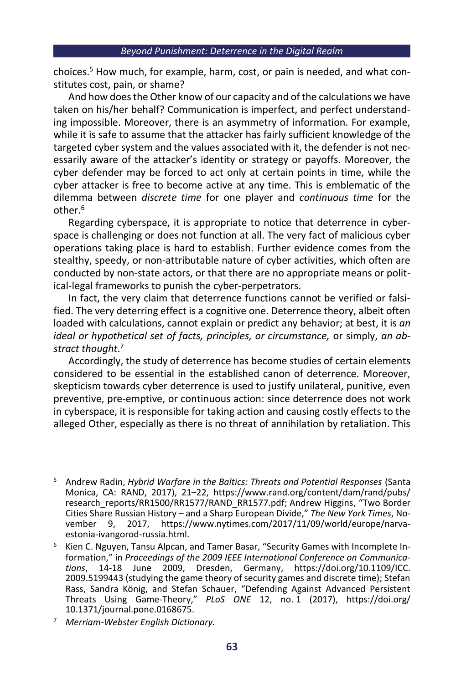choices.<sup>5</sup> How much, for example, harm, cost, or pain is needed, and what constitutes cost, pain, or shame?

And how does the Other know of our capacity and of the calculations we have taken on his/her behalf? Communication is imperfect, and perfect understanding impossible. Moreover, there is an asymmetry of information. For example, while it is safe to assume that the attacker has fairly sufficient knowledge of the targeted cyber system and the values associated with it, the defender is not necessarily aware of the attacker's identity or strategy or payoffs. Moreover, the cyber defender may be forced to act only at certain points in time, while the cyber attacker is free to become active at any time. This is emblematic of the dilemma between *discrete time* for one player and *continuous time* for the other.<sup>6</sup>

Regarding cyberspace, it is appropriate to notice that deterrence in cyberspace is challenging or does not function at all. The very fact of malicious cyber operations taking place is hard to establish. Further evidence comes from the stealthy, speedy, or non-attributable nature of cyber activities, which often are conducted by non-state actors, or that there are no appropriate means or political-legal frameworks to punish the cyber-perpetrators.

In fact, the very claim that deterrence functions cannot be verified or falsified. The very deterring effect is a cognitive one. Deterrence theory, albeit often loaded with calculations, cannot explain or predict any behavior; at best, it is *an*  ideal or hypothetical set of facts, principles, or circumstance, or simply, an ab*stract thought*. 7

Accordingly, the study of deterrence has become studies of certain elements considered to be essential in the established canon of deterrence. Moreover, skepticism towards cyber deterrence is used to justify unilateral, punitive, even preventive, pre-emptive, or continuous action: since deterrence does not work in cyberspace, it is responsible for taking action and causing costly effects to the alleged Other, especially as there is no threat of annihilation by retaliation. This

<sup>5</sup> Andrew Radin, *Hybrid Warfare in the Baltics: Threats and Potential Responses* (Santa Monica, CA: RAND, 2017), 21–22, https://www.rand.org/content/dam/rand/pubs/ research\_reports/RR1500/RR1577/RAND\_RR1577.pdf; Andrew Higgins, "Two Border Cities Share Russian History – and a Sharp European Divide," *The New York Times*, No-2017, https://www.nytimes.com/2017/11/09/world/europe/narvaestonia-ivangorod-russia.html.

<sup>6</sup> Kien C. Nguyen, Tansu Alpcan, and Tamer Basar, "Security Games with Incomplete Information," in *Proceedings of the 2009 IEEE International Conference on Communications*, 14-18 June 2009, Dresden, Germany, https://doi.org/10.1109/ICC. 2009.5199443 (studying the game theory of security games and discrete time); Stefan Rass, Sandra König, and Stefan Schauer, "Defending Against Advanced Persistent Threats Using Game-Theory," *PLoS ONE* 12, no. 1 (2017), https://doi.org/ 10.1371/journal.pone.0168675.

<sup>7</sup> *Merriam-Webster English Dictionary.*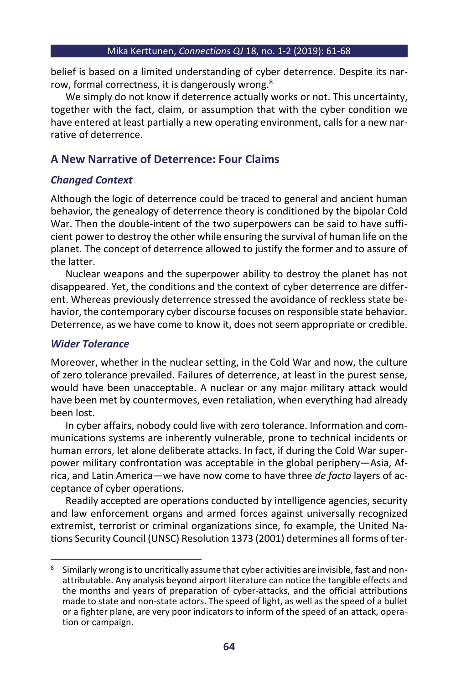belief is based on a limited understanding of cyber deterrence. Despite its narrow, formal correctness, it is dangerously wrong.<sup>8</sup>

We simply do not know if deterrence actually works or not. This uncertainty, together with the fact, claim, or assumption that with the cyber condition we have entered at least partially a new operating environment, calls for a new narrative of deterrence.

## **A New Narrative of Deterrence: Four Claims**

## *Changed Context*

Although the logic of deterrence could be traced to general and ancient human behavior, the genealogy of deterrence theory is conditioned by the bipolar Cold War. Then the double-intent of the two superpowers can be said to have sufficient power to destroy the other while ensuring the survival of human life on the planet. The concept of deterrence allowed to justify the former and to assure of the latter.

Nuclear weapons and the superpower ability to destroy the planet has not disappeared. Yet, the conditions and the context of cyber deterrence are different. Whereas previously deterrence stressed the avoidance of reckless state behavior, the contemporary cyber discourse focuses on responsible state behavior. Deterrence, as we have come to know it, does not seem appropriate or credible.

## *Wider Tolerance*

Moreover, whether in the nuclear setting, in the Cold War and now, the culture of zero tolerance prevailed. Failures of deterrence, at least in the purest sense, would have been unacceptable. A nuclear or any major military attack would have been met by countermoves, even retaliation, when everything had already been lost.

In cyber affairs, nobody could live with zero tolerance. Information and communications systems are inherently vulnerable, prone to technical incidents or human errors, let alone deliberate attacks. In fact, if during the Cold War superpower military confrontation was acceptable in the global periphery—Asia, Africa, and Latin America—we have now come to have three *de facto* layers of acceptance of cyber operations.

Readily accepted are operations conducted by intelligence agencies, security and law enforcement organs and armed forces against universally recognized extremist, terrorist or criminal organizations since, fo example, the United Nations Security Council (UNSC) Resolution 1373 (2001) determines all forms of ter-

<sup>8</sup> Similarly wrong is to uncritically assume that cyber activities are invisible, fast and nonattributable. Any analysis beyond airport literature can notice the tangible effects and the months and years of preparation of cyber-attacks, and the official attributions made to state and non-state actors. The speed of light, as well as the speed of a bullet or a fighter plane, are very poor indicators to inform of the speed of an attack, operation or campaign.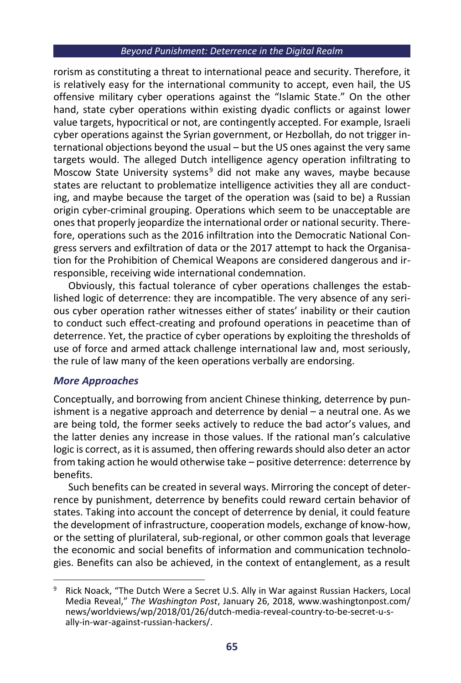#### *Beyond Punishment: Deterrence in the Digital Realm*

rorism as constituting a threat to international peace and security. Therefore, it is relatively easy for the international community to accept, even hail, the US offensive military cyber operations against the "Islamic State." On the other hand, state cyber operations within existing dyadic conflicts or against lower value targets, hypocritical or not, are contingently accepted. For example, Israeli cyber operations against the Syrian government, or Hezbollah, do not trigger international objections beyond the usual – but the US ones against the very same targets would. The alleged Dutch intelligence agency operation infiltrating to Moscow State University systems<sup>9</sup> did not make any waves, maybe because states are reluctant to problematize intelligence activities they all are conducting, and maybe because the target of the operation was (said to be) a Russian origin cyber-criminal grouping. Operations which seem to be unacceptable are ones that properly jeopardize the international order or national security. Therefore, operations such as the 2016 infiltration into the Democratic National Congress servers and exfiltration of data or the 2017 attempt to hack the Organisation for the Prohibition of Chemical Weapons are considered dangerous and irresponsible, receiving wide international condemnation.

Obviously, this factual tolerance of cyber operations challenges the established logic of deterrence: they are incompatible. The very absence of any serious cyber operation rather witnesses either of states' inability or their caution to conduct such effect-creating and profound operations in peacetime than of deterrence. Yet, the practice of cyber operations by exploiting the thresholds of use of force and armed attack challenge international law and, most seriously, the rule of law many of the keen operations verbally are endorsing.

## *More Approaches*

Conceptually, and borrowing from ancient Chinese thinking, deterrence by punishment is a negative approach and deterrence by denial – a neutral one. As we are being told, the former seeks actively to reduce the bad actor's values, and the latter denies any increase in those values. If the rational man's calculative logic is correct, as it is assumed, then offering rewards should also deter an actor from taking action he would otherwise take – positive deterrence: deterrence by benefits.

Such benefits can be created in several ways. Mirroring the concept of deterrence by punishment, deterrence by benefits could reward certain behavior of states. Taking into account the concept of deterrence by denial, it could feature the development of infrastructure, cooperation models, exchange of know-how, or the setting of plurilateral, sub-regional, or other common goals that leverage the economic and social benefits of information and communication technologies. Benefits can also be achieved, in the context of entanglement, as a result

Rick Noack, "The Dutch Were a Secret U.S. Ally in War against Russian Hackers, Local Media Reveal," *The Washington Post*, January 26, 2018, www.washingtonpost.com/ news/worldviews/wp/2018/01/26/dutch-media-reveal-country-to-be-secret-u-sally-in-war-against-russian-hackers/.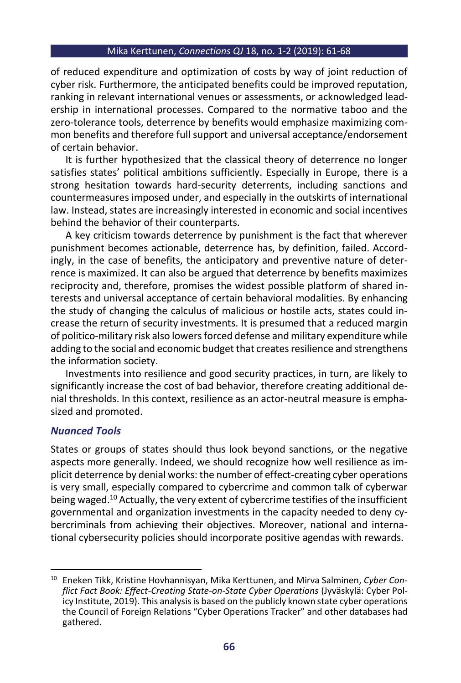of reduced expenditure and optimization of costs by way of joint reduction of cyber risk. Furthermore, the anticipated benefits could be improved reputation, ranking in relevant international venues or assessments, or acknowledged leadership in international processes. Compared to the normative taboo and the zero-tolerance tools, deterrence by benefits would emphasize maximizing common benefits and therefore full support and universal acceptance/endorsement of certain behavior.

It is further hypothesized that the classical theory of deterrence no longer satisfies states' political ambitions sufficiently. Especially in Europe, there is a strong hesitation towards hard-security deterrents, including sanctions and countermeasures imposed under, and especially in the outskirts of international law. Instead, states are increasingly interested in economic and social incentives behind the behavior of their counterparts.

A key criticism towards deterrence by punishment is the fact that wherever punishment becomes actionable, deterrence has, by definition, failed. Accordingly, in the case of benefits, the anticipatory and preventive nature of deterrence is maximized. It can also be argued that deterrence by benefits maximizes reciprocity and, therefore, promises the widest possible platform of shared interests and universal acceptance of certain behavioral modalities. By enhancing the study of changing the calculus of malicious or hostile acts, states could increase the return of security investments. It is presumed that a reduced margin of politico-military risk also lowers forced defense and military expenditure while adding to the social and economic budget that creates resilience and strengthens the information society.

Investments into resilience and good security practices, in turn, are likely to significantly increase the cost of bad behavior, therefore creating additional denial thresholds. In this context, resilience as an actor-neutral measure is emphasized and promoted.

## *Nuanced Tools*

States or groups of states should thus look beyond sanctions, or the negative aspects more generally. Indeed, we should recognize how well resilience as implicit deterrence by denial works: the number of effect-creating cyber operations is very small, especially compared to cybercrime and common talk of cyberwar being waged.<sup>10</sup> Actually, the very extent of cybercrime testifies of the insufficient governmental and organization investments in the capacity needed to deny cybercriminals from achieving their objectives. Moreover, national and international cybersecurity policies should incorporate positive agendas with rewards.

<sup>10</sup> Eneken Tikk, Kristine Hovhannisyan, Mika Kerttunen, and Mirva Salminen, *Cyber Conflict Fact Book: Effect-Creating State-on-State Cyber Operations* (Jyväskylä: Cyber Policy Institute, 2019). This analysis is based on the publicly known state cyber operations the Council of Foreign Relations "Cyber Operations Tracker" and other databases had gathered.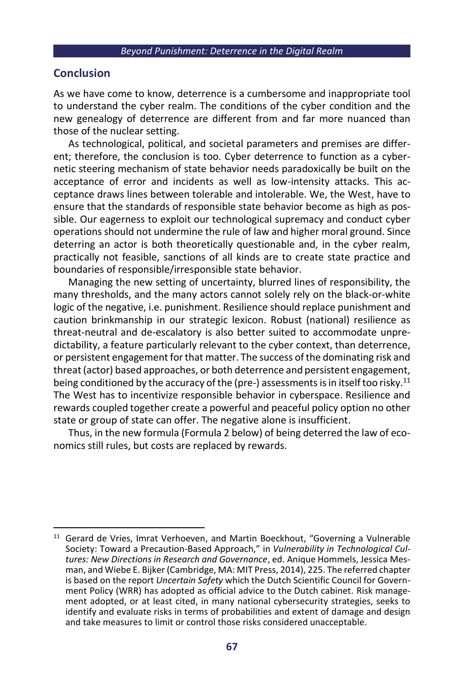#### *Beyond Punishment: Deterrence in the Digital Realm*

## **Conclusion**

As we have come to know, deterrence is a cumbersome and inappropriate tool to understand the cyber realm. The conditions of the cyber condition and the new genealogy of deterrence are different from and far more nuanced than those of the nuclear setting.

As technological, political, and societal parameters and premises are different; therefore, the conclusion is too. Cyber deterrence to function as a cybernetic steering mechanism of state behavior needs paradoxically be built on the acceptance of error and incidents as well as low-intensity attacks. This acceptance draws lines between tolerable and intolerable. We, the West, have to ensure that the standards of responsible state behavior become as high as possible. Our eagerness to exploit our technological supremacy and conduct cyber operations should not undermine the rule of law and higher moral ground. Since deterring an actor is both theoretically questionable and, in the cyber realm, practically not feasible, sanctions of all kinds are to create state practice and boundaries of responsible/irresponsible state behavior.

Managing the new setting of uncertainty, blurred lines of responsibility, the many thresholds, and the many actors cannot solely rely on the black-or-white logic of the negative, i.e. punishment. Resilience should replace punishment and caution brinkmanship in our strategic lexicon. Robust (national) resilience as threat-neutral and de-escalatory is also better suited to accommodate unpredictability, a feature particularly relevant to the cyber context, than deterrence, or persistent engagement for that matter. The success of the dominating risk and threat (actor) based approaches, or both deterrence and persistent engagement, being conditioned by the accuracy of the (pre-) assessments is in itself too risky.<sup>11</sup> The West has to incentivize responsible behavior in cyberspace. Resilience and rewards coupled together create a powerful and peaceful policy option no other state or group of state can offer. The negative alone is insufficient.

Thus, in the new formula (Formula 2 below) of being deterred the law of economics still rules, but costs are replaced by rewards.

<sup>&</sup>lt;sup>11</sup> Gerard de Vries, Imrat Verhoeven, and Martin Boeckhout, "Governing a Vulnerable Society: Toward a Precaution-Based Approach," in *Vulnerability in Technological Cultures: New Directions in Research and Governance*, ed. Anique Hommels, Jessica Mesman, and Wiebe E. Bijker (Cambridge, MA: MIT Press, 2014), 225. The referred chapter is based on the report *Uncertain Safety* which the Dutch Scientific Council for Government Policy (WRR) has adopted as official advice to the Dutch cabinet. Risk management adopted, or at least cited, in many national cybersecurity strategies, seeks to identify and evaluate risks in terms of probabilities and extent of damage and design and take measures to limit or control those risks considered unacceptable.